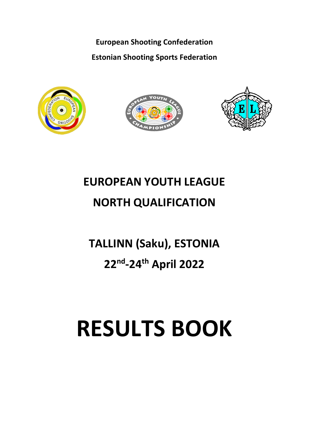**European Shooting Confederation Estonian Shooting Sports Federation**







# **EUROPEAN YOUTH LEAGUE**

# **NORTH QUALIFICATION**

# **TALLINN (Saku), ESTONIA**

# **22nd -24th April 2022**

# **RESULTS BOOK**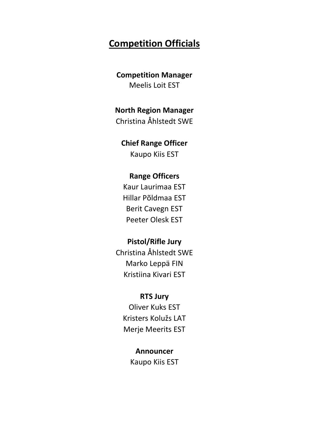## **Competition Officials**

#### **Competition Manager** Meelis Loit EST

### **North Region Manager**

Christina Åhlstedt SWE

#### **Chief Range Officer**

Kaupo Kiis EST

#### **Range Officers**

Kaur Laurimaa EST Hillar Põldmaa EST Berit Cavegn EST Peeter Olesk EST

#### **Pistol/Rifle Jury**

Christina Åhlstedt SWE Marko Leppä FIN Kristiina Kivari EST

#### **RTS Jury**

Oliver Kuks EST Kristers Kolužs LAT Merje Meerits EST

### **Announcer**

Kaupo Kiis EST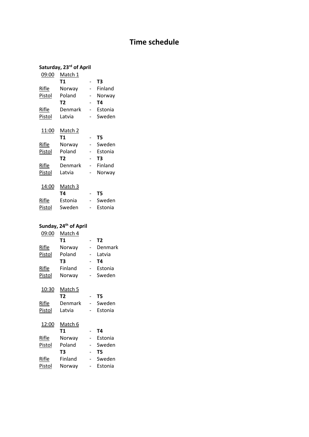### **Time schedule**

#### **Saturday, 23rd of April**

| 09:00  | Match 1 |         |
|--------|---------|---------|
|        | Τ1      | T3      |
| Rifle  | Norway  | Finland |
| Pistol | Poland  | Norway  |
|        | T2      | Τ4      |
| Rifle  | Denmark | Estonia |
| Pistol | Latvia  | Sweden  |
| 11:00  | Match 2 |         |
|        | Τ1      | T5      |
| Rifle  | Norway  | Sweden  |
| Pistol | Poland  | Estonia |
|        | Т2      | T3      |
| Rifle  | Denmark | Finland |
| Pistol | Latvia  | Norway  |

| 14:00  | Match 3 |         |
|--------|---------|---------|
|        | T4      | Т5      |
| Rifle  | Estonia | Sweden  |
| Pistol | Sweden  | Estonia |
|        |         |         |

#### **Sunday, 24th of April** 09:00 Match 4 **T1** - **T2**<br>Norway - De Rifle Norway - Denmark<br>Pistol Poland - Latvia Pistol Poland - Latvia **T3** - **T4** Rifle Finland - Estonia Pistol Norway - Sweden 10:30 Match 5 **T2** - **T5** Rifle Denmark - Sweden Pistol Latvia - Estonia 12:00 Match 6 **T1** - **T4**

| Rifle  | Norway  | Estonia |
|--------|---------|---------|
| Pistol | Poland  | Sweden  |
|        | T3      | Т5      |
| Rifle  | Finland | Sweden  |
| Pistol | Norway  | Estonia |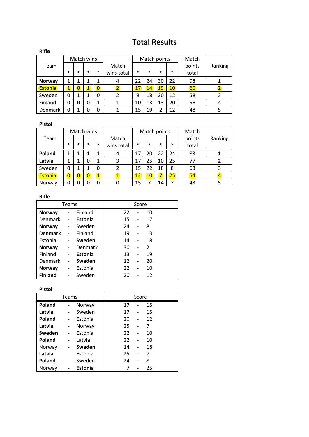## **Total Results**

| <b>Rifle</b>   |                         |                |            |                |                          |        |        |              |        |        |                         |
|----------------|-------------------------|----------------|------------|----------------|--------------------------|--------|--------|--------------|--------|--------|-------------------------|
|                |                         |                | Match wins |                |                          |        |        | Match points |        | Match  |                         |
| Team           |                         |                |            |                | Match                    |        |        |              |        | points | Ranking                 |
|                | $\ast$                  | $\ast$         | $\ast$     | $\ast$         | wins total               | $\ast$ | $\ast$ | $\ast$       | $\ast$ | total  |                         |
| Norway         | 1                       | 1              | 1          | 1              | 4                        | 22     | 24     | 30           | 22     | 98     |                         |
| <b>Estonia</b> | $\overline{\mathbf{1}}$ | $\overline{0}$ | 1          | $\overline{0}$ | $\overline{2}$           | 17     | 14     | 19           | 10     | 60     | $\overline{\mathbf{2}}$ |
| Sweden         | 0                       | 1              |            | 0              | $\overline{\phantom{a}}$ | 8      | 18     | 20           | 12     | 58     | 3                       |
| Finland        | 0                       | 0              | 0          | 1              |                          | 10     | 13     | 13           | 20     | 56     | 4                       |
| Denmark        | 0                       | 1              | 0          | 0              |                          | 15     | 19     | 2            | 12     | 48     |                         |

#### **Pistol**

|         |                |                | Match wins     |                |            |        |                 | Match points |        | Match  |         |
|---------|----------------|----------------|----------------|----------------|------------|--------|-----------------|--------------|--------|--------|---------|
| Team    |                |                |                |                | Match      |        |                 |              |        | points | Ranking |
|         | $\ast$         | $\ast$         | $\ast$         | $\ast$         | wins total | $\ast$ | $\ast$          | $\ast$       | $\ast$ | total  |         |
| Poland  | 1              | 1              |                |                | 4          | 17     | 20              | 22           | 24     | 83     |         |
| Latvia  | 1              | 1              | 0              |                | 3          | 17     | 25              | 10           | 25     | 77     | 2       |
| Sweden  | 0              | 1              |                | 0              |            | 15     | 22              | 18           | 8      | 63     | 3       |
| Estonia | $\overline{0}$ | $\overline{0}$ | $\overline{0}$ | $\overline{1}$ | 1          | 12     | 10 <sup>°</sup> | 7            | 25     | 54     | 4       |
| Norway  | 0              | ი              |                | 0              |            | 15     |                 | 14           | 7      | 43     | 5       |

#### **Rifle**

|                |                |       |    | Score |               |
|----------------|----------------|-------|----|-------|---------------|
| $\overline{a}$ | Finland        |       | 22 |       | 10            |
|                | <b>Estonia</b> |       | 15 |       | 17            |
|                | Sweden         |       | 24 |       | 8             |
|                | Finland        |       | 19 |       | 13            |
|                | Sweden         |       | 14 |       | 18            |
|                | Denmark        |       | 30 |       | $\mathcal{P}$ |
|                | <b>Estonia</b> |       | 13 |       | 19            |
|                | Sweden         |       | 12 |       | 20            |
|                | Estonia        |       | 22 |       | 10            |
|                | Sweden         |       | 20 |       | 12            |
|                |                | Teams |    |       |               |

#### **Pistol**

|        | <b>Teams</b>             |                |    | Score |    |
|--------|--------------------------|----------------|----|-------|----|
| Poland | $\overline{\phantom{0}}$ | Norway         | 17 | -     | 15 |
| Latvia |                          | Sweden         | 17 | -     | 15 |
| Poland |                          | Estonia        | 20 |       | 12 |
| Latvia | $\overline{\phantom{a}}$ | Norway         | 25 |       | 7  |
| Sweden |                          | Estonia        | 22 |       | 10 |
| Poland |                          | Latvia         | 22 |       | 10 |
| Norway |                          | Sweden         | 14 |       | 18 |
| Latvia |                          | Estonia        | 25 |       |    |
| Poland |                          | Sweden         | 24 |       | 8  |
| Norway |                          | <b>Estonia</b> | 7  |       | 25 |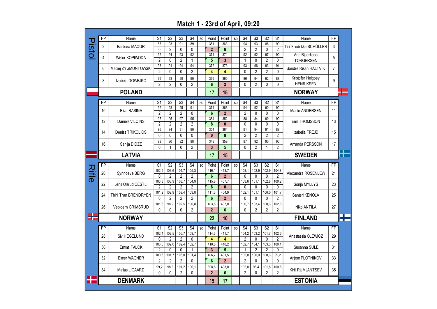|               |                |                       |                         |                         |                         |                         |    |                         | Match 1 - 23rd of April, 09:20 |     |                      |                      |                         |                      |                          |                |  |
|---------------|----------------|-----------------------|-------------------------|-------------------------|-------------------------|-------------------------|----|-------------------------|--------------------------------|-----|----------------------|----------------------|-------------------------|----------------------|--------------------------|----------------|--|
|               |                |                       |                         |                         |                         |                         |    |                         |                                |     |                      |                      |                         |                      |                          |                |  |
|               | <b>FP</b>      | Name                  | S <sub>1</sub>          | S <sub>2</sub>          | S3                      | S <sub>4</sub>          | SO | Point                   | Point                          | SO. | S <sub>4</sub>       | S3                   | S2                      | S1                   | Name                     | <b>FP</b>      |  |
| <b>Pistol</b> | $\overline{2}$ | Barbara MACUR         | 88<br>$\mathbf{0}$      | 93<br>$\overline{2}$    | 91<br>0                 | 89<br>0                 |    | 361<br>$\overline{2}$   | 363<br>$6\phantom{1}$          |     | 94<br>$\overline{2}$ | 93<br>$\overline{2}$ | 86<br>0                 | 90<br>$\overline{2}$ | Tiril Fredrikke SCHÜLLER | 3              |  |
|               | 4              | Wiktor KOPIWODA       | 92                      | 94                      | 93                      | 92                      |    | 371                     | 371                            |     | 92                   | 92                   | 97                      | 90                   | Ane Bjoerkaas            | 5              |  |
|               |                |                       | $\overline{2}$<br>93    | 0                       | $\overline{2}$<br>94    | $\mathbf{1}$<br>94      |    | 5<br>372                | 3<br>373                       |     | 1<br>93              | 0<br>96              | $\overline{2}$<br>93    | 0<br>91              | <b>TORGERSEN</b>         |                |  |
|               | 6              | Maciej ZYGMUNTOWSKI   | $\overline{2}$          | 91<br>0                 | 0                       | $\overline{c}$          |    | 4                       | 4                              |     | 0                    | $\overline{2}$       | $\overline{2}$          | $\overline{0}$       | Sondre Risan HALTVIK     | $\overline{7}$ |  |
|               | 8              | Izabela DOWEJKO       | 96                      | 93                      | 90                      | 90                      |    | 369                     | 360                            |     | 86                   | 94                   | 92                      | 88                   | Kristoffer Helgoey       | 9              |  |
|               |                |                       | $\overline{2}$          | $\overline{2}$          | $\mathbf 0$             | $\overline{2}$          |    | $6\phantom{a}$          | $\overline{2}$                 |     | 0                    | $\overline{2}$       | $\mathbf 0$             | 0                    | <b>HENRIKSEN</b>         |                |  |
|               |                | <b>POLAND</b>         |                         |                         |                         |                         |    | 17                      | 15                             |     |                      |                      |                         |                      | <b>NORWAY</b>            |                |  |
|               | <b>FP</b>      | Name                  | S <sub>1</sub>          | S <sub>2</sub>          | S3                      | S <sub>4</sub>          | SO | Point                   | Point                          | SO  | S4                   | S <sub>3</sub>       | S <sub>2</sub>          | S1                   | Name                     | FP             |  |
|               | 10             | Eliza RASINA          | 92                      | 93                      | 95                      | 91                      |    | 371                     | 366                            |     | 94                   | 92                   | 90                      | 90                   | <b>Martin ANDERSEN</b>   | 11             |  |
|               |                |                       | $\overline{2}$          | $\overline{2}$          | $\overline{2}$          | 0                       |    | $6\phantom{1}$          | $\overline{2}$                 |     | $\overline{2}$       | 0                    | 0                       | 0                    |                          |                |  |
|               | 12             | Daniels VILCINS       | 97<br>$\overline{2}$    | 95<br>$\overline{2}$    | 97<br>$\overline{2}$    | 95<br>$\overline{2}$    |    | 384<br>8                | 352<br>$\mathbf{0}$            |     | 88<br>0              | 84<br>0              | 90<br>$\mathbf 0$       | 90<br>0              | Emil THOMSSON            | 13             |  |
|               |                |                       | 86                      | 84                      | 91                      | 90                      |    | 351                     | 364                            |     | 91                   | 94                   | 91                      | 88                   |                          |                |  |
|               | 14             | Deniss TRIKOLICS      | 0                       | 0                       | 0                       | 0                       |    | $\mathbf{0}$            | 8                              |     | $\overline{2}$       | 2                    | $\overline{2}$          | 2                    | Izabella FREJD           | 15             |  |
|               |                |                       | 88                      | 90                      | 82                      | 88                      |    | 348                     | 359                            |     | 87                   | 92                   | 90                      | 90                   |                          |                |  |
|               | 16             | Sanija DIDZE          | 0                       | $\mathbf{1}$            | $\Omega$                | $\overline{2}$          |    | $\overline{3}$          | 5                              |     | 0                    | $\overline{2}$       | $\mathbf{1}$            | $\mathfrak{p}$       | Amanda PERSSON           | 17             |  |
|               |                | <b>LATVIA</b>         |                         |                         |                         |                         |    | 17                      | 15                             |     |                      |                      |                         |                      | <b>SWEDEN</b>            |                |  |
|               | FP             | Name                  | S <sub>1</sub>          | S <sub>2</sub>          | S <sub>3</sub>          | S <sub>4</sub>          | SO | Point                   | Point                          | SO  | S <sub>4</sub>       | S3                   | S <sub>2</sub>          | S <sub>1</sub>       | Name                     | FP             |  |
| Rifie         | 20             | Synnoeve BERG         | 102,5                   | 103,6                   | 104,7                   | 105,3                   |    | 416,1                   | 413,7                          |     | 103, 1               | 102,9                | 102,9                   | 104,8                | Alexandra ROSENLEW       | 21             |  |
|               |                |                       | $\mathbf{0}$            | $\overline{2}$          | $\overline{2}$          | $\overline{2}$          |    | $6\phantom{1}$          | $\mathbf{2}$                   |     | 0                    | 0                    | 0                       | 2                    |                          |                |  |
|               | 22             | Jens Olsrud OESTLI    | 103,3                   | 103,9                   | 103,7                   | 104,9                   |    | 415,8                   | 407,7                          |     | 103,6                | 101, 1               | 102,8                   | 100,2                | Sonja MYLLYS             | 23             |  |
|               |                |                       | $\mathfrak{p}$<br>101,2 | $\overline{2}$<br>102,9 | $\overline{2}$<br>103,4 | $\overline{2}$<br>103,8 |    | 8<br>411,3              | $\mathbf{0}$<br>404,9          |     | 0<br>102,1           | 0<br>101,1           | 0<br>100,0              | 0<br>101,7           |                          |                |  |
|               | 24             | Thiril Tran BRENDRYEN | $\Omega$                | $\overline{2}$          | $\overline{2}$          | $\overline{2}$          |    | 6                       | $\overline{2}$                 |     | 0                    | $\overline{0}$       | $\Omega$                | $\overline{2}$       | Santeri KENOLA           | 25             |  |
|               |                |                       | 101,6                   | 98,9                    | 102,5                   | 100,8                   |    | 403,8                   | 407,0                          |     | 100,7                | 103,4                | 100,3                   | 102,6                |                          |                |  |
|               | 26             | Vebjoern GRIMSRUD     | 0                       | 0                       | 0                       | $\overline{2}$          |    | $\overline{2}$          | 6                              |     | 0                    | 2                    | $\overline{2}$          | 2                    | Niko ANTILA              | 27             |  |
| H             |                | <b>NORWAY</b>         |                         |                         |                         |                         |    | 22                      | 10                             |     |                      |                      |                         |                      | <b>FINLAND</b>           |                |  |
|               | FP             | Name                  | S <sub>1</sub>          | S <sub>2</sub>          | S <sub>3</sub>          | S4                      | SO | Point                   | Point                          | SO  | S4                   | S3                   | S <sub>2</sub>          | S <sub>1</sub>       | Name                     | FP             |  |
|               | 28             | Siv HEGELUND          | 102,4                   | 102,5                   | 105,7                   | 103,7                   |    | 414.3                   | 411,7                          |     | 104,2                | 103,2                | 101,7                   | 102,6                | Anastassia OLEWICZ       | 29             |  |
|               |                |                       | 0                       | $\overline{2}$          | $\overline{2}$          | 0                       |    | 4                       | 4                              |     | 2                    | 0                    | $\mathbf{0}$            | $\overline{2}$       |                          |                |  |
|               | 30             | Emma FALCK            | 103,5                   | 102,0                   | 102,4                   | 102,7                   |    | 410,6                   | 410,2                          |     | 102,7                | 104,1                | 103,3                   | 100,1                | Susanna SULE             | 31             |  |
|               |                |                       | $\overline{2}$<br>100.6 | 0<br>101,7              | 0<br>103,0              | 1<br>101,4              |    | $\overline{3}$<br>406.7 | $5\phantom{.0}$<br>401,5       |     | 1<br>102.0           | 2<br>100,0           | $\overline{2}$<br>100,3 | 0<br>99,2            |                          |                |  |
|               | 32             | Elmer WAGNER          | $\overline{2}$          | $\overline{2}$          | $\overline{2}$          | 0                       |    | $6\phantom{1}$          | $\mathbf{2}$                   |     | 2                    | 0                    | $\mathbf{0}$            | 0                    | Artjom PLOTNIKOV         | 33             |  |
|               |                |                       | 99,2                    | 98,3                    | 101,2                   | 100,1                   |    | 398,8                   | 403,0                          |     | 102,0                | 98,4                 | 101,8                   | 100,8                |                          |                |  |
|               | 34             | Matias LIGAARD        | $\mathbf{0}$            | $\pmb{0}$               | $\overline{2}$          | 0                       |    | $\overline{2}$          | $6\phantom{1}$                 |     | $\overline{2}$       | 0                    | $\overline{2}$          | $\overline{2}$       | Kirill RUMJANTSEV        | 35             |  |
|               |                | <b>DENMARK</b>        |                         |                         |                         |                         |    | 15                      | 17                             |     |                      |                      |                         |                      | <b>ESTONIA</b>           |                |  |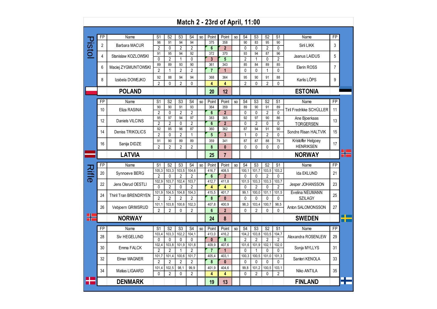|              |    |                       |                         |                         |                         |                                  |     |                         | Match 2 - 23rd of April, 11:00 |                |                         |                         |                         |                                   |                                        |                 |     |
|--------------|----|-----------------------|-------------------------|-------------------------|-------------------------|----------------------------------|-----|-------------------------|--------------------------------|----------------|-------------------------|-------------------------|-------------------------|-----------------------------------|----------------------------------------|-----------------|-----|
|              |    |                       |                         |                         |                         |                                  |     |                         |                                |                |                         |                         |                         |                                   |                                        |                 |     |
|              | FP | Name                  | S <sub>1</sub>          | S <sub>2</sub>          | S3                      | S4                               | SO. | Point                   | Point                          | SO             | S4                      | S <sub>3</sub>          | S <sub>2</sub>          | S <sub>1</sub>                    | Name                                   | FP              |     |
| <b>IStol</b> | 2  | Barbara MACUR         | 96<br>$\overline{2}$    | 91<br>0                 | 94<br>$\overline{2}$    | 94<br>$\overline{2}$             |     | 375<br>$6\phantom{1}$   | 358<br>$\overline{2}$          |                | 90<br>0                 | 83<br>0                 | 95<br>$\overline{2}$    | 90<br>0                           | Sirli LIKK                             | 3               |     |
|              | 4  | Stanislaw KOZLOWSKI   | 91<br>0                 | 95<br>$\overline{2}$    | 94<br>1                 | 92<br>0                          |     | 372<br>$\overline{3}$   | 370<br>5                       |                | 93<br>2                 | 94<br>$\mathbf{1}$      | 87<br>0                 | 96<br>$\overline{c}$              | Jaanus LAIDUS                          | 5               |     |
|              | 6  | Maciej ZYGMUNTOWSKI   | 89<br>$\overline{2}$    | 89<br>1                 | 93<br>$\overline{2}$    | 90<br>$\overline{2}$             |     | 361<br>$\overline{7}$   | 343<br>$\mathbf{1}$            |                | 85<br>0                 | 84<br>0                 | 89<br>$\mathbf{1}$      | 85<br>$\mathbf{0}$                | Elerin ROSS                            | $\overline{7}$  |     |
|              | 8  | Izabela DOWEJKO       | 92                      | 88                      | 94                      | 94                               |     | 368                     | 364                            |                | 95                      | 90                      | 91                      | 88                                | Karlis LÕPS                            | 9               |     |
|              |    | <b>POLAND</b>         | $\overline{2}$          | 0                       | $\overline{2}$          | 0                                |     | 4<br>20                 | 4<br>12                        |                | $\overline{2}$          | $\mathbf{0}$            | $\overline{2}$          | 0                                 | <b>ESTONIA</b>                         |                 |     |
|              |    |                       |                         |                         |                         |                                  |     |                         |                                |                |                         |                         |                         |                                   |                                        |                 |     |
|              | FP | Name                  | S <sub>1</sub>          | S <sub>2</sub>          | S <sub>3</sub>          | S <sub>4</sub>                   | SO  | Point                   | Point                          | <b>SO</b>      | S <sub>4</sub>          | S <sub>3</sub>          | S <sub>2</sub>          | S <sub>1</sub>                    | Name                                   | FP              |     |
|              | 10 | Eliza RASINA          | 90<br>$\overline{2}$    | 90<br>$\mathbf{0}$      | 91<br>$\overline{2}$    | 93<br>2                          |     | 364<br>$6\phantom{1}6$  | 359<br>$\overline{2}$          |                | 89<br>0                 | 90<br>0                 | 91<br>$\overline{2}$    | 89<br>$\mathbf{0}$                | Tiril Fredrikke SCHÜLLER               | 11              |     |
|              | 12 | Daniels VILCINS       | 95<br>$\overline{2}$    | 97<br>$\overline{2}$    | 94<br>0                 | 97<br>$\overline{2}$             |     | 383<br>$6\phantom{1}6$  | 365<br>$\overline{2}$          |                | 92<br>0                 | 97<br>$\overline{c}$    | 90<br>$\mathbf 0$       | 86<br>0                           | Ane Bjoerkaas<br><b>TORGERSEN</b>      | 13              |     |
|              | 14 | Deniss TRIKOLICS      | 92<br>$\overline{2}$    | 85<br>$\mathbf{0}$      | 96<br>$\overline{2}$    | 87<br>$\mathbf{1}$               |     | 360<br>$5\phantom{.0}$  | 362<br>$\mathbf{3}$            |                | 87<br>$\mathbf{1}$      | 94<br>$\mathbf{0}$      | 91<br>$\overline{2}$    | 90<br>$\mathbf{0}$                | Sondre Risan HALTVIK                   | 15              |     |
|              | 16 | Sanija DIDZE          | 91<br>$\overline{2}$    | 90<br>$\overline{2}$    | 89<br>$\overline{2}$    | 89<br>2                          |     | 359<br>8                | 341<br>$\mathbf{0}$            |                | 87<br>0                 | 87<br>0                 | 88<br>$\mathbf{0}$      | 79<br>0                           | Kristoffer Helgoey<br><b>HENRIKSEN</b> | 17              |     |
|              |    | <b>LATVIA</b>         |                         |                         |                         |                                  |     | 25                      | 7                              |                |                         |                         |                         |                                   | <b>NORWAY</b>                          |                 |     |
|              |    |                       |                         |                         |                         |                                  |     |                         |                                |                |                         |                         |                         |                                   |                                        |                 |     |
|              | FP | Name                  | S <sub>1</sub><br>105,3 | S <sub>2</sub><br>103,3 | S <sub>3</sub><br>103,5 | S <sub>4</sub><br>104,6          | SO  | Point<br>416,7          | Point<br>408,5                 | S <sub>O</sub> | S <sub>4</sub><br>100,1 | S <sub>3</sub><br>101,7 | S <sub>2</sub><br>103,5 | S <sub>1</sub><br>103,2           | Name                                   | FP              |     |
| Щe           | 20 | Synnoeve BERG         | $\overline{2}$          | $\mathbf{0}$            | 2                       | $\overline{2}$                   |     | $6\phantom{1}$          | $\overline{2}$                 |                | 0                       | 0                       | $\overline{2}$          | $\mathbf{0}$                      | Ida EKLUND                             | 21              |     |
|              | 22 | Jens Olsrud OESTLI    | 102,9<br>$\Omega$       | 103,7<br>$\overline{2}$ | 102,4<br>0              | 103,7<br>$\overline{2}$          |     | 412,7<br>4              | 411,8<br>$\overline{4}$        |                | 101,5<br>0              | 103,3<br>$\overline{2}$ | 103,3<br>$\Omega$       | 103,7<br>$\overline{2}$           | Jesper JOHANSSON                       | 23              |     |
|              | 24 | Thiril Tran BRENDRYEN | 101,9<br>$\overline{2}$ | 104,5<br>$\overline{2}$ | 104,8<br>2              | 104,3<br>2                       |     | 415,5<br>8              | 401,7<br>$\mathbf{0}$          |                | 99,1<br>0               | 100,0<br>0              | 101,1<br>$\mathbf 0$    | 101,5<br>0                        | Evelina NEUMANN<br><b>SZILAGY</b>      | 25              |     |
|              | 26 | Vebjoern GRIMSRUD     | 101,1<br>$\overline{2}$ | 103,8<br>$\overline{2}$ | 100,6<br>0              | 102,3                            |     | 407,8<br>6              | 400,9                          |                | 98,3<br>0               | 103,4                   | 100,7<br>$\mathbf{0}$   | 98,5<br>$\mathbf{0}$              | Anton SALOMONSSON                      | 27              |     |
|              |    | <b>NORWAY</b>         |                         |                         |                         | 2                                |     | 24                      | $\overline{2}$<br>8            |                |                         | $\overline{2}$          |                         |                                   | <b>SWEDEN</b>                          |                 |     |
|              |    |                       |                         |                         |                         |                                  |     |                         |                                |                |                         |                         |                         |                                   |                                        |                 |     |
|              | FP | Name                  | S <sub>1</sub><br>103,4 | S <sub>2</sub><br>103,3 | S <sub>3</sub><br>102,2 | S <sub>4</sub><br>104,1          | SO  | Point<br>413,0          | Point<br>416,2                 | SO             | S <sub>4</sub><br>104,2 | S3<br>103,8             | S <sub>2</sub><br>103,5 | $\overline{\mathsf{S}1}$<br>104,7 | Name                                   | $\overline{FP}$ |     |
|              | 28 | Siv HEGELUND          | 0                       | 0                       | 0                       | 0                                |     | $\bf{0}$                | 8                              |                | 2                       | $\overline{2}$          | $\overline{2}$          | $\overline{2}$                    | Alexandra ROSENLEW                     | 29              |     |
|              | 30 | Emma FALCK            | 102,4<br>$\overline{2}$ | 103,8<br>$\overline{2}$ | 101,9<br>1              | 101,8<br>$\overline{\mathbf{2}}$ |     | 409,9<br>$\overline{7}$ | 407,6<br>1                     |                | 101,6<br>0              | 101,9<br>1              | 102,1<br>0              | 102,0<br>0                        | Sonja MYLLYS                           | 31              |     |
|              | 32 | Elmer WAGNER          | 101,7<br>2              | 101,4<br>2              | 100,6<br>2              | 101,7<br>2                       |     | 405,4<br>8              | 403,1<br>0                     |                | 100,3<br>0              | 100,5<br>0              | 101,0<br>0              | 101,3<br>0                        | Santeri KENOLA                         | 33              |     |
|              | 34 | Matias LIGAARD        | 101,4                   | 102,5                   | 98,1                    | 99,9                             |     | 401,9                   | 404,6                          |                | 99,8                    | 101,2                   | 100,5                   | 103,1                             | Niko ANTILA                            | 35              |     |
|              |    | <b>DENMARK</b>        | 0                       | 2                       | 0                       | 2                                |     | 4<br>19                 | 4<br>13                        |                | 0                       | $\overline{c}$          | 0                       | $\overline{2}$                    | <b>FINLAND</b>                         |                 | n m |
|              |    |                       |                         |                         |                         |                                  |     |                         |                                |                |                         |                         |                         |                                   |                                        |                 |     |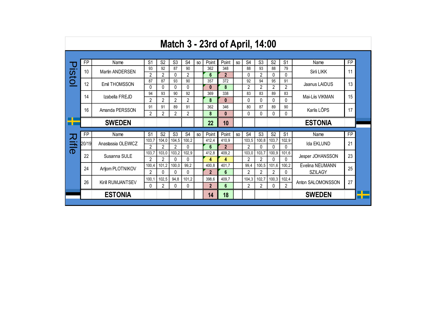|              |       |                    |                |                |                |                  |     |                | <b>Match 3 - 23rd of April, 14:00</b> |     |                |                |                |                |                   |           |
|--------------|-------|--------------------|----------------|----------------|----------------|------------------|-----|----------------|---------------------------------------|-----|----------------|----------------|----------------|----------------|-------------------|-----------|
|              |       |                    |                |                |                |                  |     |                |                                       |     |                |                |                |                |                   |           |
| Q            | FP    | Name               | S <sub>1</sub> | S <sub>2</sub> | S <sub>3</sub> | S <sub>4</sub>   | SO. | Point          | Point                                 | SO. | S <sub>4</sub> | S <sub>3</sub> | S <sub>2</sub> | S <sub>1</sub> | Name              | <b>FP</b> |
| <b>IStol</b> | 10    | Martin ANDERSEN    | 93             | 92             | 87             | 90               |     | 362            | 348                                   |     | 88             | 93             | 88             | 79             | Sirli LIKK        | 11        |
|              |       |                    | $\overline{2}$ | 2              | 0              | 2                |     | 6              | $\overline{2}$                        |     | 0              | 2              | 0              | 0              |                   |           |
|              | 12    | Emil THOMSSON      | 87             | 87             | 93             | 90               |     | 357            | 372                                   |     | 92             | 94             | 95             | 91             | Jaanus LAIDUS     | 13        |
|              |       |                    | 0              | 0              | 0              | 0                |     | $\mathbf{0}$   | 8                                     |     | $\overline{2}$ | $\overline{2}$ | $\overline{2}$ | $\overline{2}$ |                   |           |
|              | 14    | Izabella FREJD     | 94             | 93             | 90             | 92               |     | 369            | 338                                   |     | 83             | 83             | 89             | 83             | Mai-Liis VIKMAN   | 15        |
|              |       |                    | $\overline{2}$ | 2              | $\overline{2}$ | $\overline{2}$   |     | 8              | $\bf{0}$                              |     | 0              | 0              | 0              | 0              |                   |           |
|              | 16    | Amanda PERSSON     | 91             | 91             | 89             | 91               |     | 362            | 346                                   |     | 80             | 87             | 89             | 90             | Karlis LÕPS       | 17        |
|              |       |                    | $\overline{2}$ | $\overline{2}$ | $\overline{2}$ | $\overline{2}$   |     | 8              | 0                                     |     | 0              | 0              | 0              | 0              |                   |           |
|              |       | <b>SWEDEN</b>      |                |                |                |                  |     | 22             | 10                                    |     |                |                |                |                | <b>ESTONIA</b>    |           |
|              |       |                    |                |                |                |                  |     |                |                                       |     |                |                |                |                |                   |           |
| 刀            | FP    | Name               | S <sub>1</sub> | S <sub>2</sub> | S <sub>3</sub> | S <sub>4</sub>   | SO. | Point          | Point                                 | SO. | S <sub>4</sub> | S <sub>3</sub> | S <sub>2</sub> | S <sub>1</sub> | Name              | <b>FP</b> |
|              | 20/19 | Anastassia OLEWICZ | 103,7          | 104,0          | 104,5          | 100.2            |     | 412,4          | 410.9                                 |     | 103,5          | 100,8          | 103,7          | 102,9          | Ida EKLUND        | 21        |
| ifle         |       |                    | $\mathfrak{p}$ | $\mathfrak{p}$ | 2              | $\Omega$         |     | 6              | $\mathbf{2}$                          |     | 2              | 0              | 0              | 0              |                   |           |
|              | 22    | Susanna SULE       | 103,7          | 103,0          | 103,2          | 102.9            |     | 412,8          | 409.2                                 |     | 103,0          | 103,7          | 100,9          | 101,6          | Jesper JOHANSSON  | 23        |
|              |       |                    | $\overline{2}$ | $\mathfrak{p}$ | 0<br>100.0     | $\Omega$<br>99.2 |     | 4              | 4<br>401.7                            |     | $\overline{2}$ | $\overline{2}$ | 0              | $\Omega$       |                   |           |
|              | 24    | Artiom PLOTNIKOV   | 100,4          | 101,2          |                |                  |     | 400,8          |                                       |     | 99,4           | 100,5          | 101,6          | 100,2          | Evelina NEUMANN   | 25        |
|              |       |                    | $\overline{2}$ | $\Omega$       | 0              | $\Omega$         |     | $\overline{2}$ | 6                                     |     | $\overline{2}$ | 2              | 2              | 0              | <b>SZILAGY</b>    |           |
|              | 26    | Kirill RUMJANTSEV  | 100,1          | 102,5          | 94.8           | 101.2            |     | 398,6          | 409.7                                 |     | 104,3          | 102,7          | 100,3          | 102,4          | Anton SALOMONSSON | 27        |
|              |       |                    | 0              | $\overline{2}$ | 0              | 0                |     | $\mathbf{2}$   | 6                                     |     | 2              | $\overline{2}$ | 0              | $\overline{2}$ |                   |           |
|              |       | <b>ESTONIA</b>     |                |                |                |                  |     | 14             | 18                                    |     |                |                |                |                | <b>SWEDEN</b>     |           |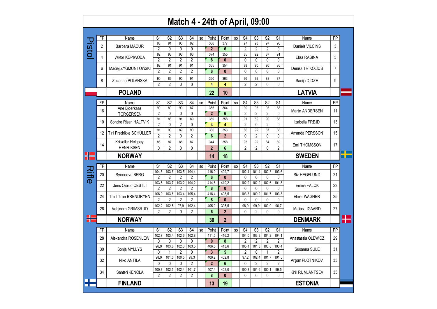## **Match 4 - 24th of April, 09:00**

|       | FP             | Name                         | S <sub>1</sub> | S <sub>2</sub> | S <sub>3</sub> | S4             | SO.             | Point                   | Point                   | SO.            | S <sub>4</sub> | S <sub>3</sub> | S <sub>2</sub> | S1             | Name                | FP             |  |
|-------|----------------|------------------------------|----------------|----------------|----------------|----------------|-----------------|-------------------------|-------------------------|----------------|----------------|----------------|----------------|----------------|---------------------|----------------|--|
| Pisto | $\overline{2}$ | Barbara MACUR                | 93             | 91             | 90             | 92             |                 | 366                     | 377                     |                | 97             | 93             | 97             | 90             | Daniels VILCINS     | 3              |  |
|       |                |                              | $\overline{2}$ | 0              | 0              | $\mathbf{0}$   |                 | $\overline{2}$          | $6\phantom{1}$          |                | $\overline{2}$ | $\overline{2}$ | $\overline{2}$ | $\Omega$       |                     |                |  |
|       | 4              | Wiktor KOPIWODA              | 92             | 93             | 93             | 96             |                 | 374                     | 355                     |                | 85             | 92             | 87             | 91             | Eliza RASINA        | 5              |  |
|       |                |                              | $\overline{2}$ | $\overline{2}$ | $\overline{2}$ | $\overline{2}$ |                 | 8                       | $\mathbf{0}$            |                | 0              | $\mathbf{0}$   | 0              | $\Omega$       |                     |                |  |
|       | 6              |                              | 92             | 91             | 91             | 91             |                 | 365                     | 354                     |                | 88             | 90             | 90             | 86             | Deniss TRIKOLICS    | $\overline{7}$ |  |
|       |                | Maciej ZYGMUNTOWSKI          | $\overline{2}$ | $\overline{2}$ | $\overline{2}$ | $\overline{2}$ |                 | 8                       | $\mathbf{0}$            |                | 0              | $\mathbf{0}$   | $\mathbf{0}$   | 0              |                     |                |  |
|       |                |                              | 90             | 89             | 90             | 91             |                 | 360                     | 363                     |                | 96             | 92             | 88             | 87             |                     |                |  |
|       | 8              | Zuzanna POLANSKA             | $\mathfrak{p}$ | $\overline{2}$ | $\Omega$       | $\Omega$       |                 | 4                       | 4                       |                | $\overline{2}$ | $\mathfrak{p}$ | $\Omega$       | $\Omega$       | Sanija DIDZE        | 9              |  |
|       |                | <b>POLAND</b>                |                |                |                |                |                 | 22                      | 10                      |                |                |                |                |                | <b>LATVIA</b>       |                |  |
|       |                |                              |                |                |                |                |                 |                         |                         |                |                |                |                |                |                     |                |  |
|       | <b>FP</b>      | Name                         | S <sub>1</sub> | S <sub>2</sub> | S <sub>3</sub> | S <sub>4</sub> | S <sub>O</sub>  | Point                   | Point                   | S <sub>O</sub> | S <sub>4</sub> | S3             | S <sub>2</sub> | S <sub>1</sub> | Name                | <b>FP</b>      |  |
|       |                | Ane Bjoerkaas                | 90             | 89             | 90             | 87             |                 | 356                     | 364                     |                | 90             | 93             | 93             | 88             |                     |                |  |
|       | 16             | <b>TORGERSEN</b>             | $\overline{2}$ | 0              | $\mathbf{0}$   | 0              |                 | $\overline{2}$          | $6\phantom{a}$          |                | $\overline{2}$ | $\overline{2}$ | $\overline{2}$ | $\Omega$       | Martin ANDERSEN     | 11             |  |
|       |                |                              | 91             | 88             | 91             | 89             |                 | 359                     | 358                     |                | 91             | 89             | 90             | 88             |                     |                |  |
|       | 10             | Sondre Risan HALTVIK         | $\overline{2}$ | 0              | $\overline{2}$ | 0              |                 | $\overline{\mathbf{4}}$ | $\overline{\mathbf{4}}$ |                | $\overline{2}$ | $\mathbf{0}$   | $\overline{2}$ | 0              | Izabella FREJD      | 13             |  |
|       |                |                              | 91             | 90             | 89             | 90             |                 | 360                     | 353                     |                | 86             | 92             | 87             | 88             |                     |                |  |
|       | 12             | Tiril Fredrikke SCHÜLLER     | $\overline{2}$ | $\overline{2}$ | 0              | $\overline{2}$ |                 | $6\phantom{1}$          | $\overline{2}$          |                | 0              | $\overline{2}$ | 0              | 0              | Amanda PERSSON      | 15             |  |
|       |                | Kristoffer Helgoey           | 85             | 87             | 85             | 87             |                 | 344                     | 358                     |                | 93             | 92             | 84             | 89             |                     |                |  |
|       | 14             | <b>HENRIKSEN</b>             | $\Omega$       | $\overline{2}$ | 0              | 0              |                 | $\overline{2}$          | $6\phantom{1}$          |                | $\overline{2}$ | $\overline{2}$ | 0              | $\overline{2}$ | Emil THOMSSON       | 17             |  |
| ₩     |                | <b>NORWAY</b>                |                |                |                |                |                 | 14                      | 18                      |                |                |                |                |                | <b>SWEDEN</b>       |                |  |
|       |                |                              |                |                |                |                |                 |                         |                         |                |                |                |                |                |                     |                |  |
|       |                |                              |                |                |                |                |                 |                         |                         |                |                |                |                |                |                     |                |  |
|       | FP             | Name                         | S <sub>1</sub> | S <sub>2</sub> | S3             | S <sub>4</sub> | SO              | Point                   | Point                   | SO.            | S <sub>4</sub> | S3             | S <sub>2</sub> | S <sub>1</sub> | Name                | FP             |  |
|       |                |                              | 104,5          | 103,6          | 103,5          | 104,4          |                 | 416,0                   | 409,7                   |                | 102,4          | 101,4          | 102,3          | 103,6          |                     |                |  |
|       | 20             | Synnoeve BERG                | $\overline{2}$ | $\overline{2}$ | $\overline{2}$ | $\overline{2}$ |                 | 8                       | $\mathbf{0}$            |                | 0              | $\mathbf{0}$   | 0              | 0              | <b>Siv HEGELUND</b> | 21             |  |
|       |                |                              | 103,5          | 103,7          | 103,2          | 104,2          |                 | 414.6                   | 410.2                   |                | 102.9          | 102,9          | 102,6          | 101,8          |                     |                |  |
|       | 22             | Jens Olsrud OESTLI           | $\mathfrak{p}$ | $\overline{2}$ | $\overline{2}$ | $\overline{2}$ |                 | 8                       | $\mathbf{0}$            |                | 0              | $\mathbf{0}$   | $\Omega$       | $\Omega$       | Emma FALCK          | 23             |  |
|       |                |                              | 106.0          | 103,6          | 103.4          | 105.4          |                 | 418.4                   | 408.5                   |                | 103.3          | 100,2          | 101.7          | 103,3          |                     |                |  |
|       | 24             | <b>Thiril Tran BRENDRYEN</b> | $\overline{2}$ | $\overline{2}$ | $\overline{2}$ | $\overline{2}$ |                 | 8                       | $\mathbf{0}$            |                | $\mathbf{0}$   | $\mathbf{0}$   | $\Omega$       | $\Omega$       | <b>Elmer WAGNER</b> | 25             |  |
|       |                |                              | 102.2          | 102.5          | 97.9           | 102.4          |                 | 405.0                   | 395.5                   |                | 98.9           | 99.9           | 100.0          | 96.7           |                     |                |  |
|       | 26             | Vebjoern GRIMSRUD            | $\overline{2}$ | $\overline{2}$ | 0              | $\overline{2}$ |                 | 6                       | $\overline{2}$          |                | 0              | $\overline{2}$ | 0              | 0              | Matias LIGAARD      | 27             |  |
|       |                |                              |                |                |                |                |                 |                         |                         |                |                |                |                |                |                     |                |  |
|       |                | <b>NORWAY</b>                |                |                |                |                |                 | 30                      | $\overline{2}$          |                |                |                |                |                | <b>DENMARK</b>      |                |  |
|       | FP             | Name                         | S <sub>1</sub> | S <sub>2</sub> | S <sub>3</sub> | S <sub>4</sub> | SO <sub>1</sub> | Point                   | Point                   | S <sub>O</sub> | S <sub>4</sub> | S <sub>3</sub> | S <sub>2</sub> | S1             | Name                | FP             |  |
|       |                |                              | 102,7          | 103,4          | 102,6          | 102,8          |                 | 411,5                   | 416,2                   |                | 104,0          | 103,9          | 104,2          | 104,1          |                     |                |  |
|       | 28             | Alexandra ROSENLEW           | $\mathbf{0}$   | $\mathbf{0}$   | 0              | $\mathbf{0}$   |                 | $\mathbf{0}$            | 8                       |                | $\overline{2}$ | $\overline{2}$ | $\overline{2}$ | $\overline{2}$ | Anastassia OLEWICZ  | 29             |  |
|       |                |                              | 96.9           | 103,8          | 102,3          | 103,5          |                 | 406.5                   | 413.6                   |                | 105.1          | 101,3          | 103,8          | 103,4          |                     |                |  |
|       | 30             | Sonja MYLLYS                 | $\Omega$       | 1              | $\overline{2}$ | 0              |                 | $\overline{\mathbf{3}}$ | $\overline{\mathbf{5}}$ |                | $\overline{2}$ | $\mathbf 0$    | 1              | $\overline{2}$ | Susanna SULE        | 31             |  |
|       |                |                              | 98,9           | 101,5          | 100,5          | 99,3           |                 | 400,2                   | 402,8                   |                | 97,2           | 102,4          | 101,7          | 101,5          |                     |                |  |
|       | 32             | Niko ANTILA                  | $\Omega$       | $\mathbf{0}$   | 0              | $\overline{2}$ |                 | $\overline{2}$          | $6\phantom{1}$          |                | 0              | $\overline{2}$ | $\overline{2}$ | 2              | Artjom PLOTNIKOV    | 33             |  |
|       |                |                              | 100, 8         | 102,5          | 102,4          | 101,7          |                 | 407,4                   | 402,0                   |                | 100,8          | 101,6          | 100,1          | 99,5           |                     |                |  |
|       | 34             | Santeri KENOLA               | $\overline{2}$ | $\overline{2}$ | $\overline{2}$ | $\overline{2}$ |                 | 8                       | $\mathbf{0}$            |                | $\mathbf{0}$   | $\mathbf{0}$   | $\mathbf{0}$   | $\Omega$       | Kirill RUMJANTSEV   | 35             |  |
|       |                | <b>FINLAND</b>               |                |                |                |                |                 | 13                      | 19                      |                |                |                |                |                | <b>ESTONIA</b>      |                |  |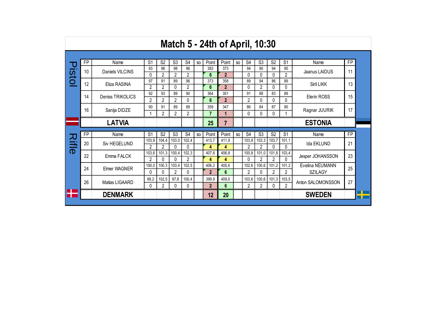|       |           |                  |                |                   |                   |                   |     |                | <b>Match 5 - 24th of April, 10:30</b> |                |                         |                |                         |                |                   |           |
|-------|-----------|------------------|----------------|-------------------|-------------------|-------------------|-----|----------------|---------------------------------------|----------------|-------------------------|----------------|-------------------------|----------------|-------------------|-----------|
|       |           |                  |                |                   |                   |                   |     |                |                                       |                |                         |                |                         |                |                   |           |
|       | <b>FP</b> | Name             | S <sub>1</sub> | S <sub>2</sub>    | S <sub>3</sub>    | S <sub>4</sub>    | SO. | Point          | Point                                 | S <sub>O</sub> | S <sub>4</sub>          | S <sub>3</sub> | S <sub>2</sub>          | S <sub>1</sub> | Name              | <b>FP</b> |
| istol | 10        | Daniels VILCINS  | 93             | 96                | 98                | 96                |     | 383            | 373                                   |                | 94                      | 90             | 94                      | 95             | Jaanus LAIDUS     | 11        |
|       |           |                  | 0              | $\overline{2}$    | 2                 | $\overline{2}$    |     | 6              | $\overline{2}$                        |                | 0                       | 0              | $\Omega$                | 2              |                   |           |
|       | 12        | Eliza RASINA     | 97             | 91                | 89                | 96                |     | 373            | 358                                   |                | 89                      | 94             | 86                      | 89             | Sirli LIKK        | 13        |
|       |           |                  | $\overline{2}$ | $\overline{2}$    | $\Omega$          | $\overline{2}$    |     | $6\phantom{a}$ | $\overline{2}$                        |                | 0                       | $\overline{2}$ | $\Omega$                | 0              |                   |           |
|       | 14        | Deniss TRIKOLICS | 92             | 93                | 89                | 90                |     | 364            | 351                                   |                | 91                      | 88             | 83                      | 89             | Elerin ROSS       | 15        |
|       |           |                  | 2              | $\overline{2}$    | $\overline{2}$    | $\Omega$          |     | 6              | $\mathbf{2}$                          |                | $\overline{2}$          | 0              | $\Omega$                | 0              |                   |           |
|       | 16        | Sanija DIDZE     | 90             | 91                | 89                | 89                |     | 359            | 347                                   |                | 86                      | 84             | 87                      | 90             | Ragnar JUURIK     | 17        |
|       |           |                  |                | $\mathfrak{p}$    | $\mathfrak{p}$    | $\overline{2}$    |     | $\overline{7}$ | 1                                     |                | 0                       | 0              | $\Omega$                |                |                   |           |
|       |           | <b>LATVIA</b>    |                |                   |                   |                   |     | 25             | $\overline{7}$                        |                |                         |                |                         |                | <b>ESTONIA</b>    |           |
|       |           |                  |                |                   |                   |                   |     |                |                                       |                |                         |                |                         |                |                   |           |
|       | FP        | Name             | S <sub>1</sub> | S <sub>2</sub>    | S <sub>3</sub>    | S <sub>4</sub>    | SO. | Point          | Point                                 | SO.            | S <sub>4</sub>          | S <sub>3</sub> | S <sub>2</sub>          | S <sub>1</sub> | Name              | <b>FP</b> |
| スミー   | 20        | Siv HEGELUND     | 103,9          | 104,4             | 103,0             | 102,4             |     | 413,7          | 411,9                                 |                | 103,8                   | 103,3          | 103,7                   | 101,1          | Ida EKLUND        | 21        |
|       |           |                  | $\overline{2}$ | $\mathfrak{p}$    | $\Omega$<br>100.4 | $\Omega$<br>102.3 |     | 4              | 4<br>406.8                            |                | $\mathfrak{p}$<br>100.8 | $\mathfrak{p}$ | $\Omega$                | 0              |                   |           |
|       | 22        | Emma FALCK       | 103,6<br>2     | 101,3<br>$\Omega$ | $\Omega$          | $\overline{2}$    |     | 407.6          | 4                                     |                | 0                       | 101,0<br>2     | 101,6<br>$\mathfrak{p}$ | 103,4<br>0     | Jesper JOHANSSON  | 23        |
|       |           |                  | 100,0          | 100,3             | 103.4             | 102,5             |     | 4<br>406,2     | 405.6                                 |                | 102,6                   | 100,6          | 101,2                   | 101,2          | Evelina NEUMANN   |           |
|       | 24        | Elmer WAGNER     | 0              | $\Omega$          | $\overline{2}$    | $\Omega$          |     | $\overline{2}$ | $6\phantom{1}$                        |                | 2                       | 0              | 2                       | $\overline{2}$ |                   | 25        |
|       |           |                  |                |                   |                   |                   |     |                |                                       |                |                         |                |                         |                | <b>SZILAGY</b>    |           |
|       | 26        | Matias LIGAARD   | 99,2           | 102,5             | 97,8              | 100,4             |     | 399,9          | 409.0                                 |                | 103,6                   | 100,6          | 101,3                   | 103,5          | Anton SALOMONSSON | 27        |
|       |           |                  | $\Omega$       | 2                 | $\Omega$          | $\Omega$          |     | $\overline{2}$ | 6                                     |                | $\overline{2}$          | 2              | $\Omega$                | $\overline{2}$ |                   |           |
|       |           | <b>DENMARK</b>   |                |                   |                   |                   |     | 12             | 20                                    |                |                         |                |                         |                | <b>SWEDEN</b>     |           |